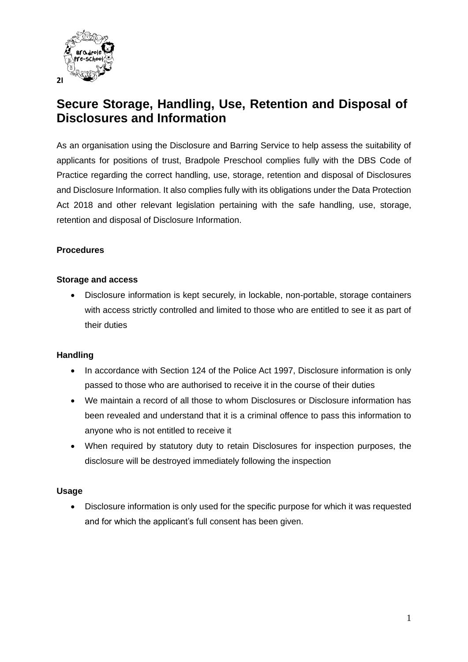

# **Secure Storage, Handling, Use, Retention and Disposal of Disclosures and Information**

As an organisation using the Disclosure and Barring Service to help assess the suitability of applicants for positions of trust, Bradpole Preschool complies fully with the DBS Code of Practice regarding the correct handling, use, storage, retention and disposal of Disclosures and Disclosure Information. It also complies fully with its obligations under the Data Protection Act 2018 and other relevant legislation pertaining with the safe handling, use, storage, retention and disposal of Disclosure Information.

### **Procedures**

#### **Storage and access**

• Disclosure information is kept securely, in lockable, non-portable, storage containers with access strictly controlled and limited to those who are entitled to see it as part of their duties

#### **Handling**

- In accordance with Section 124 of the Police Act 1997, Disclosure information is only passed to those who are authorised to receive it in the course of their duties
- We maintain a record of all those to whom Disclosures or Disclosure information has been revealed and understand that it is a criminal offence to pass this information to anyone who is not entitled to receive it
- When required by statutory duty to retain Disclosures for inspection purposes, the disclosure will be destroyed immediately following the inspection

#### **Usage**

• Disclosure information is only used for the specific purpose for which it was requested and for which the applicant's full consent has been given.